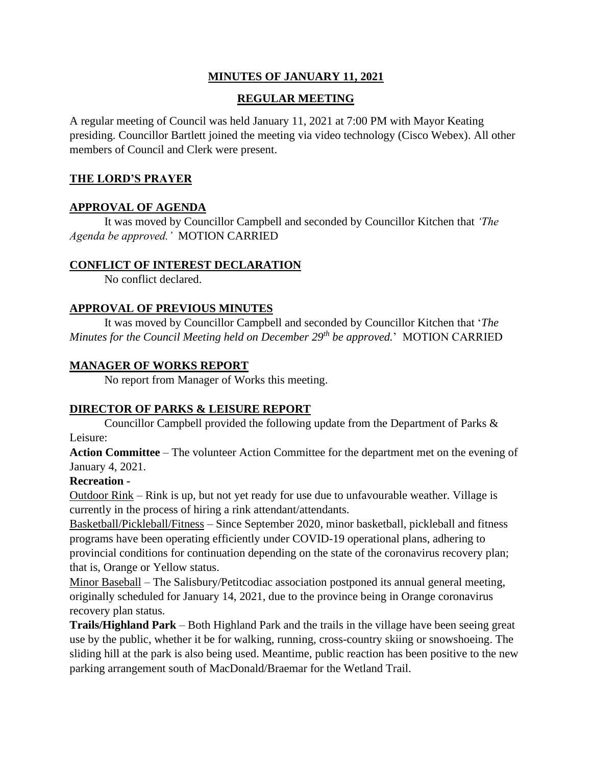## **MINUTES OF JANUARY 11, 2021**

## **REGULAR MEETING**

A regular meeting of Council was held January 11, 2021 at 7:00 PM with Mayor Keating presiding. Councillor Bartlett joined the meeting via video technology (Cisco Webex). All other members of Council and Clerk were present.

### **THE LORD'S PRAYER**

### **APPROVAL OF AGENDA**

It was moved by Councillor Campbell and seconded by Councillor Kitchen that *'The Agenda be approved.'* MOTION CARRIED

### **CONFLICT OF INTEREST DECLARATION**

No conflict declared.

## **APPROVAL OF PREVIOUS MINUTES**

It was moved by Councillor Campbell and seconded by Councillor Kitchen that '*The Minutes for the Council Meeting held on December 29th be approved.*' MOTION CARRIED

## **MANAGER OF WORKS REPORT**

No report from Manager of Works this meeting.

# **DIRECTOR OF PARKS & LEISURE REPORT**

Councillor Campbell provided the following update from the Department of Parks & Leisure:

**Action Committee** – The volunteer Action Committee for the department met on the evening of January 4, 2021.

### **Recreation -**

Outdoor Rink – Rink is up, but not yet ready for use due to unfavourable weather. Village is currently in the process of hiring a rink attendant/attendants.

Basketball/Pickleball/Fitness – Since September 2020, minor basketball, pickleball and fitness programs have been operating efficiently under COVID-19 operational plans, adhering to provincial conditions for continuation depending on the state of the coronavirus recovery plan; that is, Orange or Yellow status.

Minor Baseball – The Salisbury/Petitcodiac association postponed its annual general meeting, originally scheduled for January 14, 2021, due to the province being in Orange coronavirus recovery plan status.

**Trails/Highland Park** – Both Highland Park and the trails in the village have been seeing great use by the public, whether it be for walking, running, cross-country skiing or snowshoeing. The sliding hill at the park is also being used. Meantime, public reaction has been positive to the new parking arrangement south of MacDonald/Braemar for the Wetland Trail.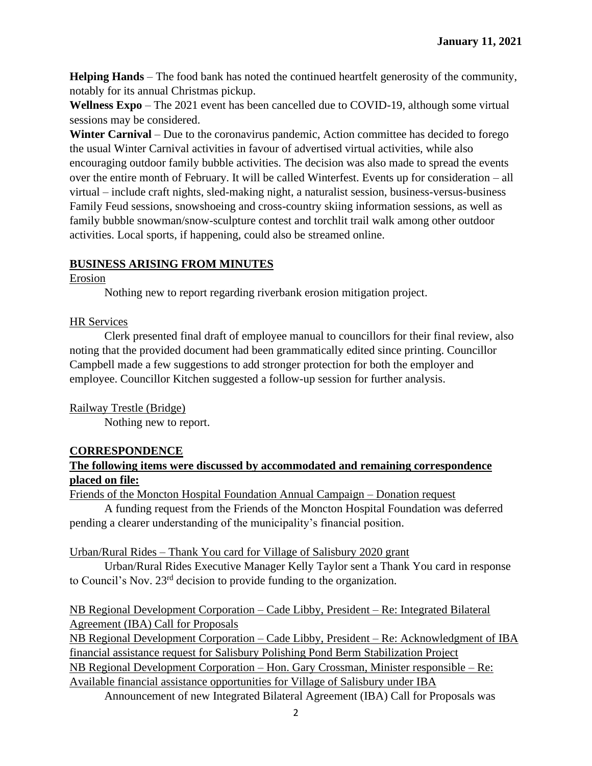**Helping Hands** – The food bank has noted the continued heartfelt generosity of the community, notably for its annual Christmas pickup.

**Wellness Expo** – The 2021 event has been cancelled due to COVID-19, although some virtual sessions may be considered.

**Winter Carnival** – Due to the coronavirus pandemic, Action committee has decided to forego the usual Winter Carnival activities in favour of advertised virtual activities, while also encouraging outdoor family bubble activities. The decision was also made to spread the events over the entire month of February. It will be called Winterfest. Events up for consideration – all virtual – include craft nights, sled-making night, a naturalist session, business-versus-business Family Feud sessions, snowshoeing and cross-country skiing information sessions, as well as family bubble snowman/snow-sculpture contest and torchlit trail walk among other outdoor activities. Local sports, if happening, could also be streamed online.

# **BUSINESS ARISING FROM MINUTES**

Erosion

Nothing new to report regarding riverbank erosion mitigation project.

HR Services

Clerk presented final draft of employee manual to councillors for their final review, also noting that the provided document had been grammatically edited since printing. Councillor Campbell made a few suggestions to add stronger protection for both the employer and employee. Councillor Kitchen suggested a follow-up session for further analysis.

Railway Trestle (Bridge)

Nothing new to report.

# **CORRESPONDENCE**

# **The following items were discussed by accommodated and remaining correspondence placed on file:**

Friends of the Moncton Hospital Foundation Annual Campaign – Donation request

A funding request from the Friends of the Moncton Hospital Foundation was deferred pending a clearer understanding of the municipality's financial position.

# Urban/Rural Rides – Thank You card for Village of Salisbury 2020 grant

Urban/Rural Rides Executive Manager Kelly Taylor sent a Thank You card in response to Council's Nov. 23rd decision to provide funding to the organization.

NB Regional Development Corporation – Cade Libby, President – Re: Integrated Bilateral Agreement (IBA) Call for Proposals

NB Regional Development Corporation – Cade Libby, President – Re: Acknowledgment of IBA financial assistance request for Salisbury Polishing Pond Berm Stabilization Project NB Regional Development Corporation – Hon. Gary Crossman, Minister responsible – Re: Available financial assistance opportunities for Village of Salisbury under IBA

Announcement of new Integrated Bilateral Agreement (IBA) Call for Proposals was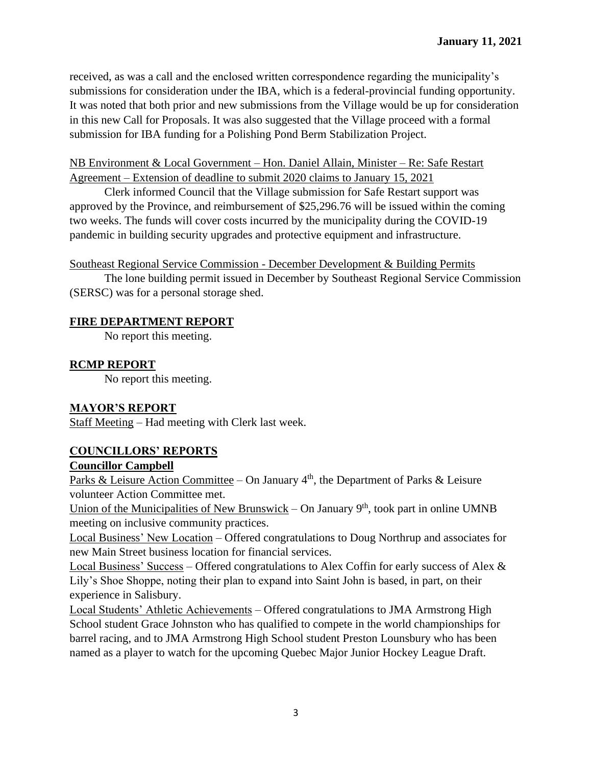received, as was a call and the enclosed written correspondence regarding the municipality's submissions for consideration under the IBA, which is a federal-provincial funding opportunity. It was noted that both prior and new submissions from the Village would be up for consideration in this new Call for Proposals. It was also suggested that the Village proceed with a formal submission for IBA funding for a Polishing Pond Berm Stabilization Project.

### NB Environment & Local Government – Hon. Daniel Allain, Minister – Re: Safe Restart Agreement – Extension of deadline to submit 2020 claims to January 15, 2021

Clerk informed Council that the Village submission for Safe Restart support was approved by the Province, and reimbursement of \$25,296.76 will be issued within the coming two weeks. The funds will cover costs incurred by the municipality during the COVID-19 pandemic in building security upgrades and protective equipment and infrastructure.

Southeast Regional Service Commission - December Development & Building Permits

The lone building permit issued in December by Southeast Regional Service Commission (SERSC) was for a personal storage shed.

### **FIRE DEPARTMENT REPORT**

No report this meeting.

## **RCMP REPORT**

No report this meeting.

### **MAYOR'S REPORT**

Staff Meeting – Had meeting with Clerk last week.

# **COUNCILLORS' REPORTS**

### **Councillor Campbell**

Parks & Leisure Action Committee – On January  $4<sup>th</sup>$ , the Department of Parks & Leisure volunteer Action Committee met.

Union of the Municipalities of New Brunswick – On January  $9<sup>th</sup>$ , took part in online UMNB meeting on inclusive community practices.

Local Business' New Location – Offered congratulations to Doug Northrup and associates for new Main Street business location for financial services.

Local Business' Success – Offered congratulations to Alex Coffin for early success of Alex & Lily's Shoe Shoppe, noting their plan to expand into Saint John is based, in part, on their experience in Salisbury.

Local Students' Athletic Achievements – Offered congratulations to JMA Armstrong High School student Grace Johnston who has qualified to compete in the world championships for barrel racing, and to JMA Armstrong High School student Preston Lounsbury who has been named as a player to watch for the upcoming Quebec Major Junior Hockey League Draft.